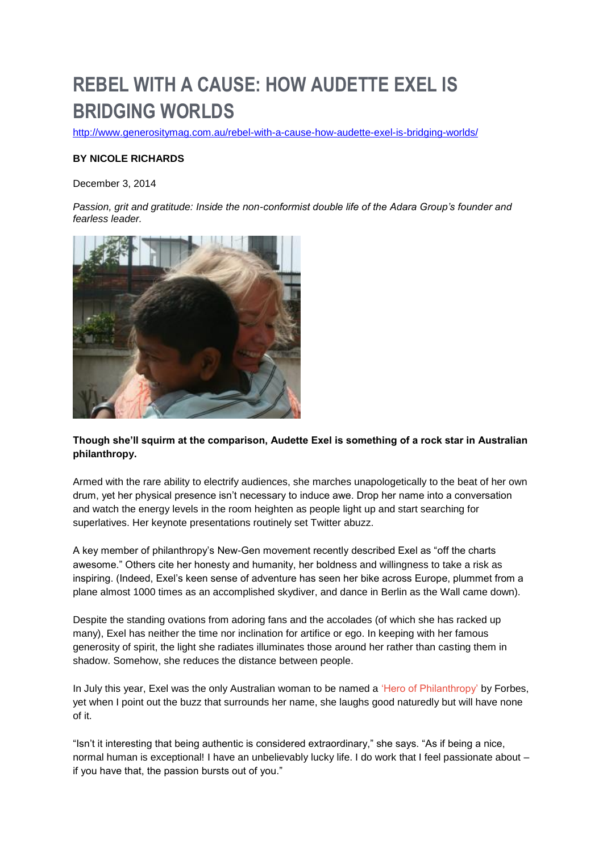# **REBEL WITH A CAUSE: HOW AUDETTE EXEL IS BRIDGING WORLDS**

<http://www.generositymag.com.au/rebel-with-a-cause-how-audette-exel-is-bridging-worlds/>

## **BY NICOLE RICHARDS**

December 3, 2014

*Passion, grit and gratitude: Inside the non-conformist double life of the Adara Group's founder and fearless leader.*



**Though she'll squirm at the comparison, Audette Exel is something of a rock star in Australian philanthropy.**

Armed with the rare ability to electrify audiences, she marches unapologetically to the beat of her own drum, yet her physical presence isn't necessary to induce awe. Drop her name into a conversation and watch the energy levels in the room heighten as people light up and start searching for superlatives. Her keynote presentations routinely set Twitter abuzz.

A key member of philanthropy's New-Gen movement recently described Exel as "off the charts awesome." Others cite her honesty and humanity, her boldness and willingness to take a risk as inspiring. (Indeed, Exel's keen sense of adventure has seen her bike across Europe, plummet from a plane almost 1000 times as an accomplished skydiver, and dance in Berlin as the Wall came down).

Despite the standing ovations from adoring fans and the accolades (of which she has racked up many), Exel has neither the time nor inclination for artifice or ego. In keeping with her famous generosity of spirit, the light she radiates illuminates those around her rather than casting them in shadow. Somehow, she reduces the distance between people.

In July this year, Exel was the only Australian woman to be named a ['Hero of Philanthropy'](http://www.forbes.com/sites/johnkoppisch/2014/06/25/48-heroes-of-philanthropy-3/) by Forbes, yet when I point out the buzz that surrounds her name, she laughs good naturedly but will have none of it.

"Isn't it interesting that being authentic is considered extraordinary," she says. "As if being a nice, normal human is exceptional! I have an unbelievably lucky life. I do work that I feel passionate about – if you have that, the passion bursts out of you."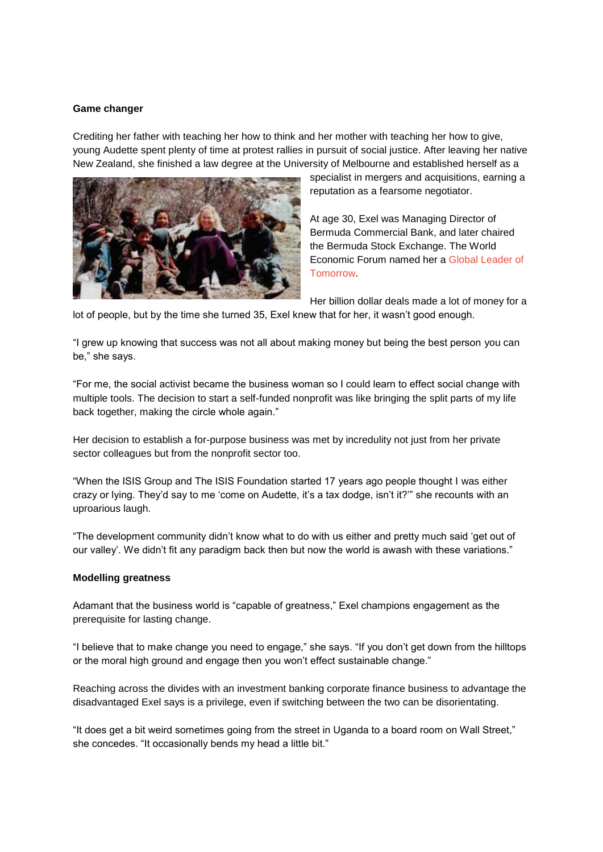#### **Game changer**

Crediting her father with teaching her how to think and her mother with teaching her how to give, young Audette spent plenty of time at protest rallies in pursuit of social justice. After leaving her native New Zealand, she finished a law degree at the University of Melbourne and established herself as a



specialist in mergers and acquisitions, earning a reputation as a fearsome negotiator.

At age 30, Exel was Managing Director of Bermuda Commercial Bank, and later chaired the Bermuda Stock Exchange. The World Economic Forum named her a [Global Leader of](http://www.weforum.org/content/pages/global-leaders-tomorrow-glt-community)  [Tomorrow.](http://www.weforum.org/content/pages/global-leaders-tomorrow-glt-community)

Her billion dollar deals made a lot of money for a

lot of people, but by the time she turned 35, Exel knew that for her, it wasn't good enough.

"I grew up knowing that success was not all about making money but being the best person you can be," she says.

"For me, the social activist became the business woman so I could learn to effect social change with multiple tools. The decision to start a self-funded nonprofit was like bringing the split parts of my life back together, making the circle whole again."

Her decision to establish a for-purpose business was met by incredulity not just from her private sector colleagues but from the nonprofit sector too.

"When the ISIS Group and The ISIS Foundation started 17 years ago people thought I was either crazy or lying. They'd say to me 'come on Audette, it's a tax dodge, isn't it?'" she recounts with an uproarious laugh.

"The development community didn't know what to do with us either and pretty much said 'get out of our valley'. We didn't fit any paradigm back then but now the world is awash with these variations."

#### **Modelling greatness**

Adamant that the business world is "capable of greatness," Exel champions engagement as the prerequisite for lasting change.

"I believe that to make change you need to engage," she says. "If you don't get down from the hilltops or the moral high ground and engage then you won't effect sustainable change."

Reaching across the divides with an investment banking corporate finance business to advantage the disadvantaged Exel says is a privilege, even if switching between the two can be disorientating.

"It does get a bit weird sometimes going from the street in Uganda to a board room on Wall Street," she concedes. "It occasionally bends my head a little bit."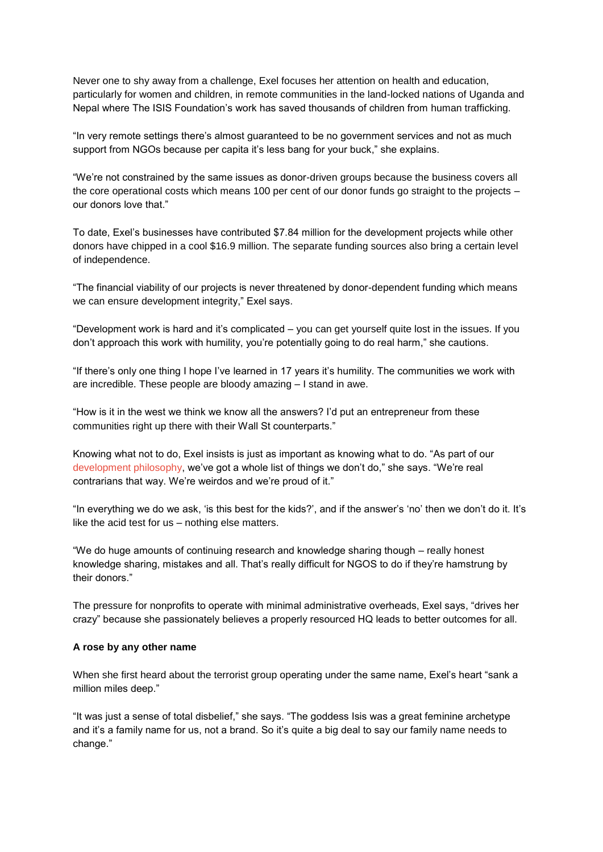Never one to shy away from a challenge, Exel focuses her attention on health and education, particularly for women and children, in remote communities in the land-locked nations of Uganda and Nepal where The ISIS Foundation's work has saved thousands of children from human trafficking.

"In very remote settings there's almost guaranteed to be no government services and not as much support from NGOs because per capita it's less bang for your buck," she explains.

"We're not constrained by the same issues as donor-driven groups because the business covers all the core operational costs which means 100 per cent of our donor funds go straight to the projects – our donors love that."

To date, Exel's businesses have contributed \$7.84 million for the development projects while other donors have chipped in a cool \$16.9 million. The separate funding sources also bring a certain level of independence.

"The financial viability of our projects is never threatened by donor-dependent funding which means we can ensure development integrity," Exel says.

"Development work is hard and it's complicated – you can get yourself quite lost in the issues. If you don't approach this work with humility, you're potentially going to do real harm," she cautions.

"If there's only one thing I hope I've learned in 17 years it's humility. The communities we work with are incredible. These people are bloody amazing – I stand in awe.

"How is it in the west we think we know all the answers? I'd put an entrepreneur from these communities right up there with their Wall St counterparts."

Knowing what not to do, Exel insists is just as important as knowing what to do. "As part of our [development philosophy,](http://www.adaragroup.org/about-us/philosophy-culture-values/) we've got a whole list of things we don't do," she says. "We're real contrarians that way. We're weirdos and we're proud of it."

"In everything we do we ask, 'is this best for the kids?', and if the answer's 'no' then we don't do it. It's like the acid test for us – nothing else matters.

"We do huge amounts of continuing research and knowledge sharing though – really honest knowledge sharing, mistakes and all. That's really difficult for NGOS to do if they're hamstrung by their donors."

The pressure for nonprofits to operate with minimal administrative overheads, Exel says, "drives her crazy" because she passionately believes a properly resourced HQ leads to better outcomes for all.

#### **A rose by any other name**

When she first heard about the terrorist group operating under the same name, Exel's heart "sank a million miles deep."

"It was just a sense of total disbelief," she says. "The goddess Isis was a great feminine archetype and it's a family name for us, not a brand. So it's quite a big deal to say our family name needs to change."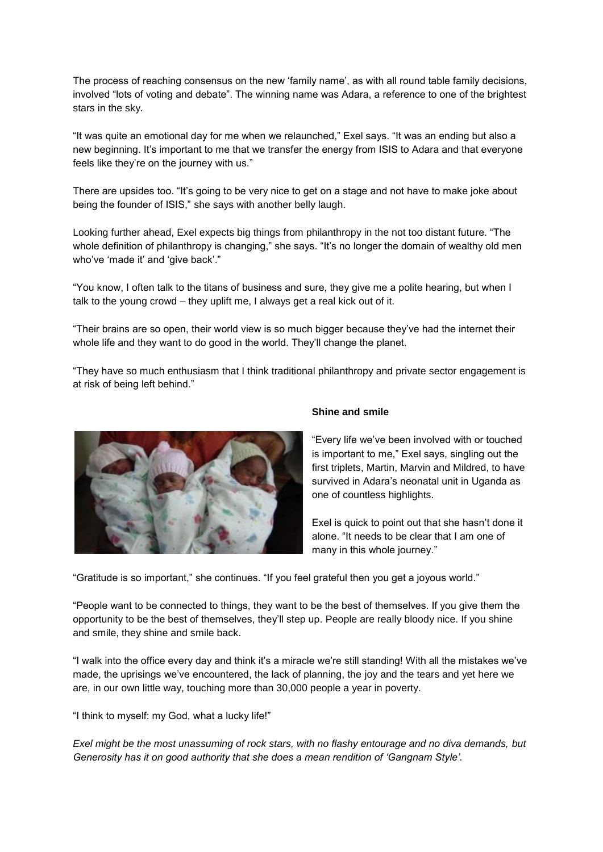The process of reaching consensus on the new 'family name', as with all round table family decisions, involved "lots of voting and debate". The winning name was Adara, a reference to one of the brightest stars in the sky.

"It was quite an emotional day for me when we relaunched," Exel says. "It was an ending but also a new beginning. It's important to me that we transfer the energy from ISIS to Adara and that everyone feels like they're on the journey with us."

There are upsides too. "It's going to be very nice to get on a stage and not have to make joke about being the founder of ISIS," she says with another belly laugh.

Looking further ahead, Exel expects big things from philanthropy in the not too distant future. "The whole definition of philanthropy is changing," she says. "It's no longer the domain of wealthy old men who've 'made it' and 'give back'."

"You know, I often talk to the titans of business and sure, they give me a polite hearing, but when I talk to the young crowd – they uplift me, I always get a real kick out of it.

"Their brains are so open, their world view is so much bigger because they've had the internet their whole life and they want to do good in the world. They'll change the planet.

"They have so much enthusiasm that I think traditional philanthropy and private sector engagement is at risk of being left behind."



### **Shine and smile**

"Every life we've been involved with or touched is important to me," Exel says, singling out the first triplets, Martin, Marvin and Mildred, to have survived in Adara's neonatal unit in Uganda as one of countless highlights.

Exel is quick to point out that she hasn't done it alone. "It needs to be clear that I am one of many in this whole journey."

"Gratitude is so important," she continues. "If you feel grateful then you get a joyous world."

"People want to be connected to things, they want to be the best of themselves. If you give them the opportunity to be the best of themselves, they'll step up. People are really bloody nice. If you shine and smile, they shine and smile back.

"I walk into the office every day and think it's a miracle we're still standing! With all the mistakes we've made, the uprisings we've encountered, the lack of planning, the joy and the tears and yet here we are, in our own little way, touching more than 30,000 people a year in poverty.

"I think to myself: my God, what a lucky life!"

*Exel might be the most unassuming of rock stars, with no flashy entourage and no diva demands, but Generosity has it on good authority that she does a mean rendition of 'Gangnam Style'.*